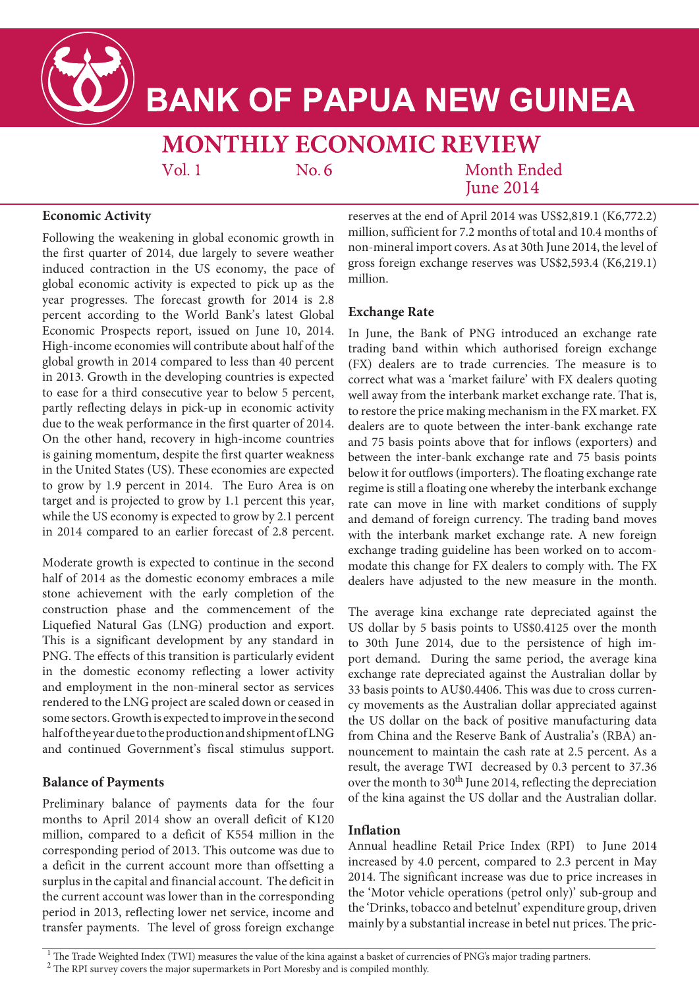

# **BANK OF PAPUA NEW GUINEA**

# **MONTHLY ECONOMIC REVIEW**

 $Vol.1$ 

 $No. 6$ 

**Month Ended Iune 2014** 

## **Economic Activity**

Following the weakening in global economic growth in the first quarter of 2014, due largely to severe weather induced contraction in the US economy, the pace of global economic activity is expected to pick up as the year progresses. The forecast growth for 2014 is 2.8 percent according to the World Bank's latest Global Economic Prospects report, issued on June 10, 2014. High-income economies will contribute about half of the global growth in 2014 compared to less than 40 percent in 2013. Growth in the developing countries is expected to ease for a third consecutive year to below 5 percent, partly reflecting delays in pick-up in economic activity due to the weak performance in the first quarter of 2014. On the other hand, recovery in high-income countries is gaining momentum, despite the first quarter weakness in the United States (US). These economies are expected to grow by 1.9 percent in 2014. The Euro Area is on target and is projected to grow by 1.1 percent this year, while the US economy is expected to grow by 2.1 percent in 2014 compared to an earlier forecast of 2.8 percent.

Moderate growth is expected to continue in the second half of 2014 as the domestic economy embraces a mile stone achievement with the early completion of the construction phase and the commencement of the Liquefied Natural Gas (LNG) production and export. This is a significant development by any standard in PNG. The effects of this transition is particularly evident in the domestic economy reflecting a lower activity and employment in the non-mineral sector as services rendered to the LNG project are scaled down or ceased in some sectors. Growth is expected to improve in the second half of the year due to the production and shipment of LNG and continued Government's fiscal stimulus support.

#### **Balance of Payments**

Preliminary balance of payments data for the four months to April 2014 show an overall deficit of K120 million, compared to a deficit of K554 million in the corresponding period of 2013. This outcome was due to a deficit in the current account more than offsetting a surplus in the capital and financial account. The deficit in the current account was lower than in the corresponding period in 2013, reflecting lower net service, income and transfer payments. The level of gross foreign exchange reserves at the end of April 2014 was US\$2,819.1 (K6,772.2) million, sufficient for 7.2 months of total and 10.4 months of non-mineral import covers. As at 30th June 2014, the level of gross foreign exchange reserves was US\$2,593.4 (K6,219.1) million.

#### **Exchange Rate**

In June, the Bank of PNG introduced an exchange rate trading band within which authorised foreign exchange (FX) dealers are to trade currencies. The measure is to correct what was a 'market failure' with FX dealers quoting well away from the interbank market exchange rate. That is, to restore the price making mechanism in the FX market. FX dealers are to quote between the inter-bank exchange rate and 75 basis points above that for inflows (exporters) and between the inter-bank exchange rate and 75 basis points below it for outflows (importers). The floating exchange rate regime is still a floating one whereby the interbank exchange rate can move in line with market conditions of supply and demand of foreign currency. The trading band moves with the interbank market exchange rate. A new foreign exchange trading guideline has been worked on to accommodate this change for FX dealers to comply with. The FX dealers have adjusted to the new measure in the month.

The average kina exchange rate depreciated against the US dollar by 5 basis points to US\$0.4125 over the month to 30th June 2014, due to the persistence of high import demand. During the same period, the average kina exchange rate depreciated against the Australian dollar by 33 basis points to AU\$0.4406. This was due to cross currency movements as the Australian dollar appreciated against the US dollar on the back of positive manufacturing data from China and the Reserve Bank of Australia's (RBA) announcement to maintain the cash rate at 2.5 percent. As a result, the average TWI decreased by 0.3 percent to 37.36 over the month to 30<sup>th</sup> June 2014, reflecting the depreciation of the kina against the US dollar and the Australian dollar.

#### **Inflation**

Annual headline Retail Price Index (RPI) to June 2014 increased by 4.0 percent, compared to 2.3 percent in May 2014. The significant increase was due to price increases in the 'Motor vehicle operations (petrol only)' sub-group and the 'Drinks, tobacco and betelnut' expenditure group, driven mainly by a substantial increase in betel nut prices. The pric-

<sup>1</sup> The Trade Weighted Index (TWI) measures the value of the kina against a basket of currencies of PNG's major trading partners.

<sup>2</sup> The RPI survey covers the major supermarkets in Port Moresby and is compiled monthly.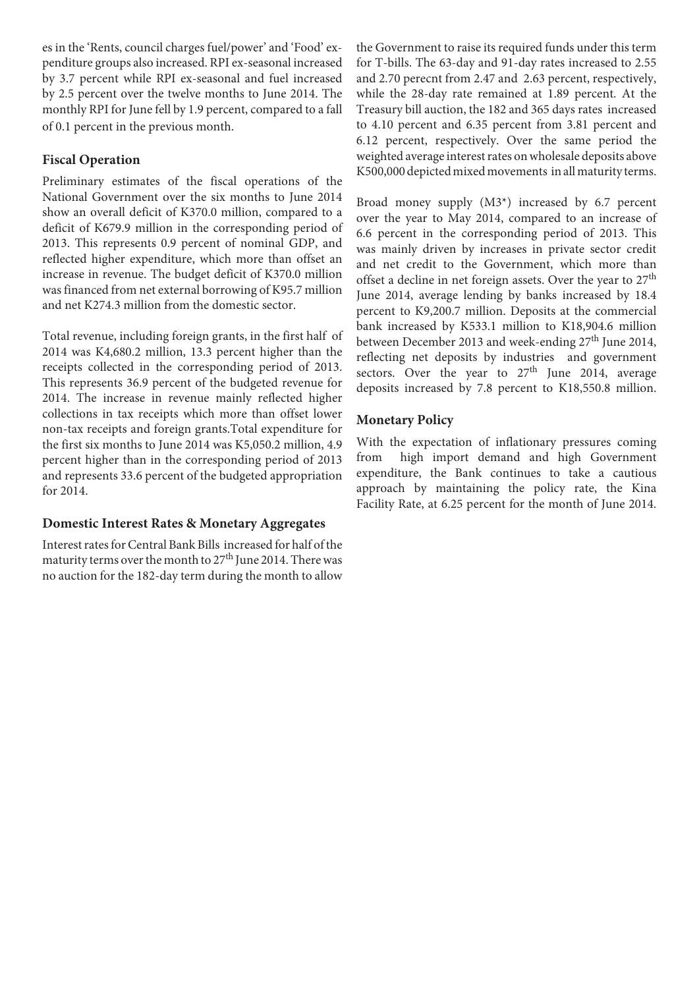es in the 'Rents, council charges fuel/power' and 'Food' expenditure groups also increased. RPI ex-seasonal increased by 3.7 percent while RPI ex-seasonal and fuel increased by 2.5 percent over the twelve months to June 2014. The monthly RPI for June fell by 1.9 percent, compared to a fall of 0.1 percent in the previous month.

#### **Fiscal Operation**

Preliminary estimates of the fiscal operations of the National Government over the six months to June 2014 show an overall deficit of K370.0 million, compared to a deficit of K679.9 million in the corresponding period of 2013. This represents 0.9 percent of nominal GDP, and reflected higher expenditure, which more than offset an increase in revenue. The budget deficit of K370.0 million was financed from net external borrowing of K95.7 million and net K274.3 million from the domestic sector.

Total revenue, including foreign grants, in the first half of 2014 was K4,680.2 million, 13.3 percent higher than the receipts collected in the corresponding period of 2013. This represents 36.9 percent of the budgeted revenue for 2014. The increase in revenue mainly reflected higher collections in tax receipts which more than offset lower non-tax receipts and foreign grants.Total expenditure for the first six months to June 2014 was K5,050.2 million, 4.9 percent higher than in the corresponding period of 2013 and represents 33.6 percent of the budgeted appropriation for 2014.

#### **Domestic Interest Rates & Monetary Aggregates**

Interest rates for Central Bank Bills increased for half of the maturity terms over the month to  $27<sup>th</sup>$  June 2014. There was no auction for the 182-day term during the month to allow

the Government to raise its required funds under this term for T-bills. The 63-day and 91-day rates increased to 2.55 and 2.70 perecnt from 2.47 and 2.63 percent, respectively, while the 28-day rate remained at 1.89 percent. At the Treasury bill auction, the 182 and 365 days rates increased to 4.10 percent and 6.35 percent from 3.81 percent and 6.12 percent, respectively. Over the same period the weighted average interest rates on wholesale deposits above K500,000 depicted mixed movements in all maturity terms.

Broad money supply (M3\*) increased by 6.7 percent over the year to May 2014, compared to an increase of 6.6 percent in the corresponding period of 2013. This was mainly driven by increases in private sector credit and net credit to the Government, which more than offset a decline in net foreign assets. Over the year to  $27<sup>th</sup>$ June 2014, average lending by banks increased by 18.4 percent to K9,200.7 million. Deposits at the commercial bank increased by K533.1 million to K18,904.6 million between December 2013 and week-ending 27<sup>th</sup> June 2014, reflecting net deposits by industries and government sectors. Over the year to  $27<sup>th</sup>$  June 2014, average deposits increased by 7.8 percent to K18,550.8 million.

### **Monetary Policy**

With the expectation of inflationary pressures coming from high import demand and high Government expenditure, the Bank continues to take a cautious approach by maintaining the policy rate, the Kina Facility Rate, at 6.25 percent for the month of June 2014.